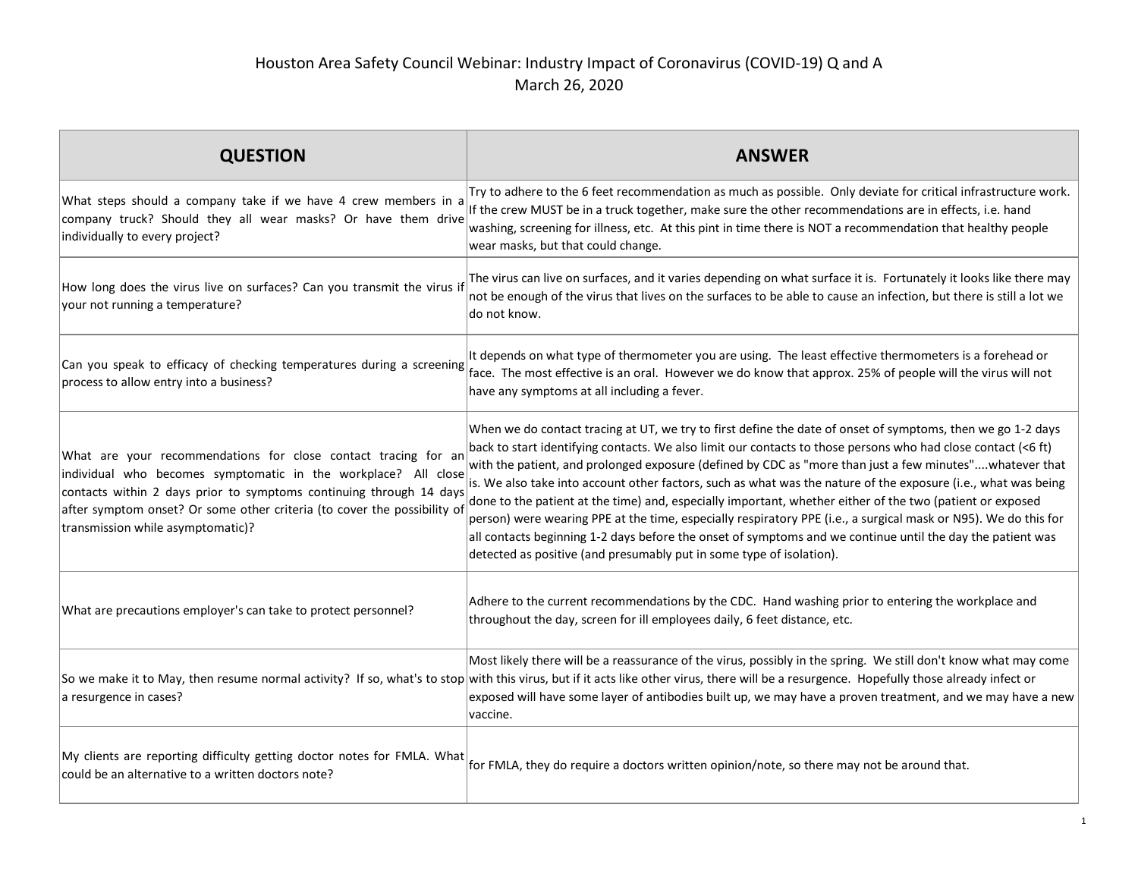| <b>QUESTION</b>                                                                                                                                                                                                                                                                                                          | <b>ANSWER</b>                                                                                                                                                                                                                                                                                                                                                                                                                                                                                                                                                                                                                                                                                                                                                                                                                                                                   |
|--------------------------------------------------------------------------------------------------------------------------------------------------------------------------------------------------------------------------------------------------------------------------------------------------------------------------|---------------------------------------------------------------------------------------------------------------------------------------------------------------------------------------------------------------------------------------------------------------------------------------------------------------------------------------------------------------------------------------------------------------------------------------------------------------------------------------------------------------------------------------------------------------------------------------------------------------------------------------------------------------------------------------------------------------------------------------------------------------------------------------------------------------------------------------------------------------------------------|
| What steps should a company take if we have 4 crew members in a<br>company truck? Should they all wear masks? Or have them drive<br>individually to every project?                                                                                                                                                       | Try to adhere to the 6 feet recommendation as much as possible. Only deviate for critical infrastructure work.<br>If the crew MUST be in a truck together, make sure the other recommendations are in effects, i.e. hand<br>washing, screening for illness, etc. At this pint in time there is NOT a recommendation that healthy people<br>wear masks, but that could change.                                                                                                                                                                                                                                                                                                                                                                                                                                                                                                   |
| How long does the virus live on surfaces? Can you transmit the virus if<br>your not running a temperature?                                                                                                                                                                                                               | The virus can live on surfaces, and it varies depending on what surface it is. Fortunately it looks like there may<br>not be enough of the virus that lives on the surfaces to be able to cause an infection, but there is still a lot we<br>do not know.                                                                                                                                                                                                                                                                                                                                                                                                                                                                                                                                                                                                                       |
| Can you speak to efficacy of checking temperatures during a screening<br>process to allow entry into a business?                                                                                                                                                                                                         | It depends on what type of thermometer you are using. The least effective thermometers is a forehead or<br>face. The most effective is an oral. However we do know that approx. 25% of people will the virus will not<br>have any symptoms at all including a fever.                                                                                                                                                                                                                                                                                                                                                                                                                                                                                                                                                                                                            |
| What are your recommendations for close contact tracing for an<br>individual who becomes symptomatic in the workplace? All close<br>contacts within 2 days prior to symptoms continuing through 14 days<br>after symptom onset? Or some other criteria (to cover the possibility of<br>transmission while asymptomatic)? | When we do contact tracing at UT, we try to first define the date of onset of symptoms, then we go 1-2 days<br>back to start identifying contacts. We also limit our contacts to those persons who had close contact (<6 ft)<br>with the patient, and prolonged exposure (defined by CDC as "more than just a few minutes"whatever that<br>is. We also take into account other factors, such as what was the nature of the exposure (i.e., what was being<br>done to the patient at the time) and, especially important, whether either of the two (patient or exposed<br>person) were wearing PPE at the time, especially respiratory PPE (i.e., a surgical mask or N95). We do this for<br>all contacts beginning 1-2 days before the onset of symptoms and we continue until the day the patient was<br>detected as positive (and presumably put in some type of isolation). |
| What are precautions employer's can take to protect personnel?                                                                                                                                                                                                                                                           | Adhere to the current recommendations by the CDC. Hand washing prior to entering the workplace and<br>throughout the day, screen for ill employees daily, 6 feet distance, etc.                                                                                                                                                                                                                                                                                                                                                                                                                                                                                                                                                                                                                                                                                                 |
| a resurgence in cases?                                                                                                                                                                                                                                                                                                   | Most likely there will be a reassurance of the virus, possibly in the spring. We still don't know what may come<br>So we make it to May, then resume normal activity? If so, what's to stop with this virus, but if it acts like other virus, there will be a resurgence. Hopefully those already infect or<br>exposed will have some layer of antibodies built up, we may have a proven treatment, and we may have a new<br>vaccine.                                                                                                                                                                                                                                                                                                                                                                                                                                           |
| My clients are reporting difficulty getting doctor notes for FMLA. What<br>could be an alternative to a written doctors note?                                                                                                                                                                                            | for FMLA, they do require a doctors written opinion/note, so there may not be around that.                                                                                                                                                                                                                                                                                                                                                                                                                                                                                                                                                                                                                                                                                                                                                                                      |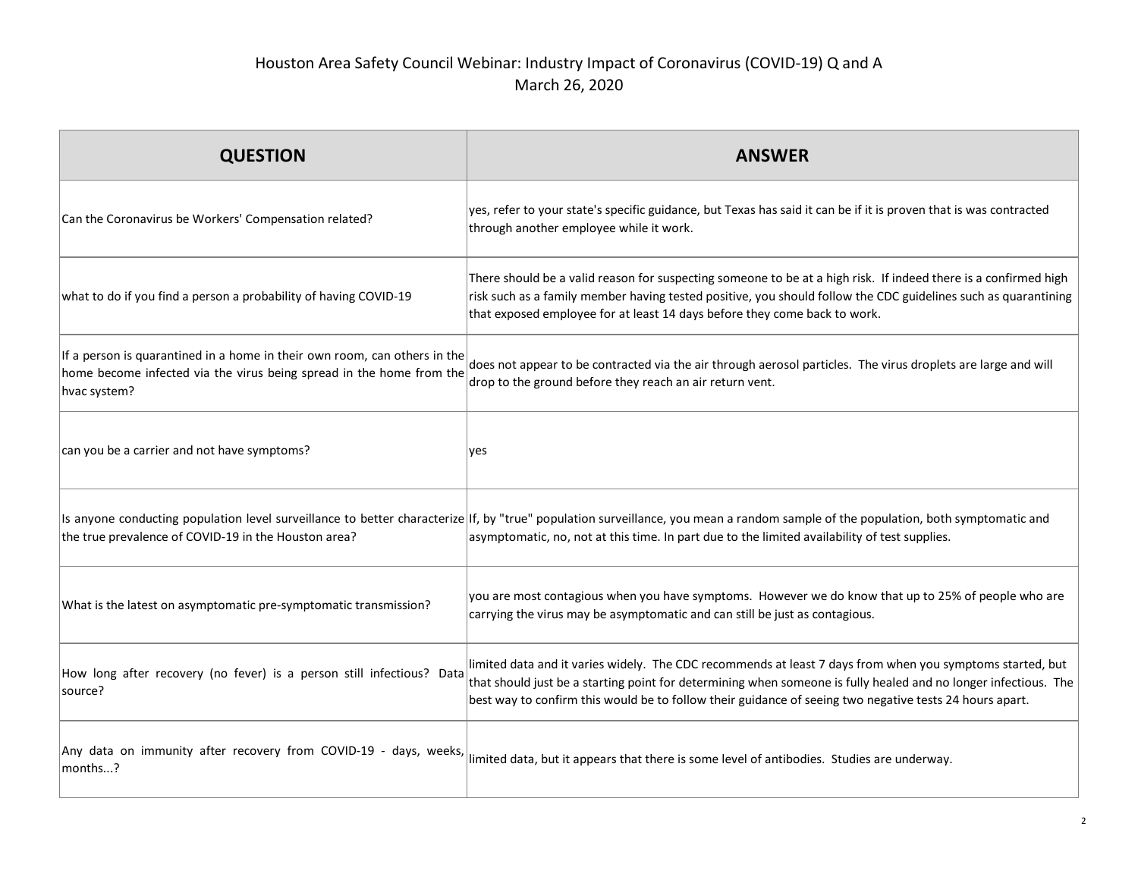| <b>QUESTION</b>                                                                                                                                                   | <b>ANSWER</b>                                                                                                                                                                                                                                                                                                                           |
|-------------------------------------------------------------------------------------------------------------------------------------------------------------------|-----------------------------------------------------------------------------------------------------------------------------------------------------------------------------------------------------------------------------------------------------------------------------------------------------------------------------------------|
| Can the Coronavirus be Workers' Compensation related?                                                                                                             | yes, refer to your state's specific guidance, but Texas has said it can be if it is proven that is was contracted<br>through another employee while it work.                                                                                                                                                                            |
| what to do if you find a person a probability of having COVID-19                                                                                                  | There should be a valid reason for suspecting someone to be at a high risk. If indeed there is a confirmed high<br>risk such as a family member having tested positive, you should follow the CDC guidelines such as quarantining<br>that exposed employee for at least 14 days before they come back to work.                          |
| If a person is quarantined in a home in their own room, can others in the<br>home become infected via the virus being spread in the home from the<br>hvac system? | does not appear to be contracted via the air through aerosol particles. The virus droplets are large and will<br>drop to the ground before they reach an air return vent.                                                                                                                                                               |
| can you be a carrier and not have symptoms?                                                                                                                       | ves                                                                                                                                                                                                                                                                                                                                     |
| the true prevalence of COVID-19 in the Houston area?                                                                                                              | Is anyone conducting population level surveillance to better characterize If, by "true" population surveillance, you mean a random sample of the population, both symptomatic and<br>asymptomatic, no, not at this time. In part due to the limited availability of test supplies.                                                      |
| What is the latest on asymptomatic pre-symptomatic transmission?                                                                                                  | you are most contagious when you have symptoms. However we do know that up to 25% of people who are<br>carrying the virus may be asymptomatic and can still be just as contagious.                                                                                                                                                      |
| How long after recovery (no fever) is a person still infectious? Data<br>source?                                                                                  | limited data and it varies widely. The CDC recommends at least 7 days from when you symptoms started, but<br>that should just be a starting point for determining when someone is fully healed and no longer infectious. The<br>best way to confirm this would be to follow their guidance of seeing two negative tests 24 hours apart. |
| Any data on immunity after recovery from COVID-19 - days, weeks,<br>months?                                                                                       | limited data, but it appears that there is some level of antibodies. Studies are underway.                                                                                                                                                                                                                                              |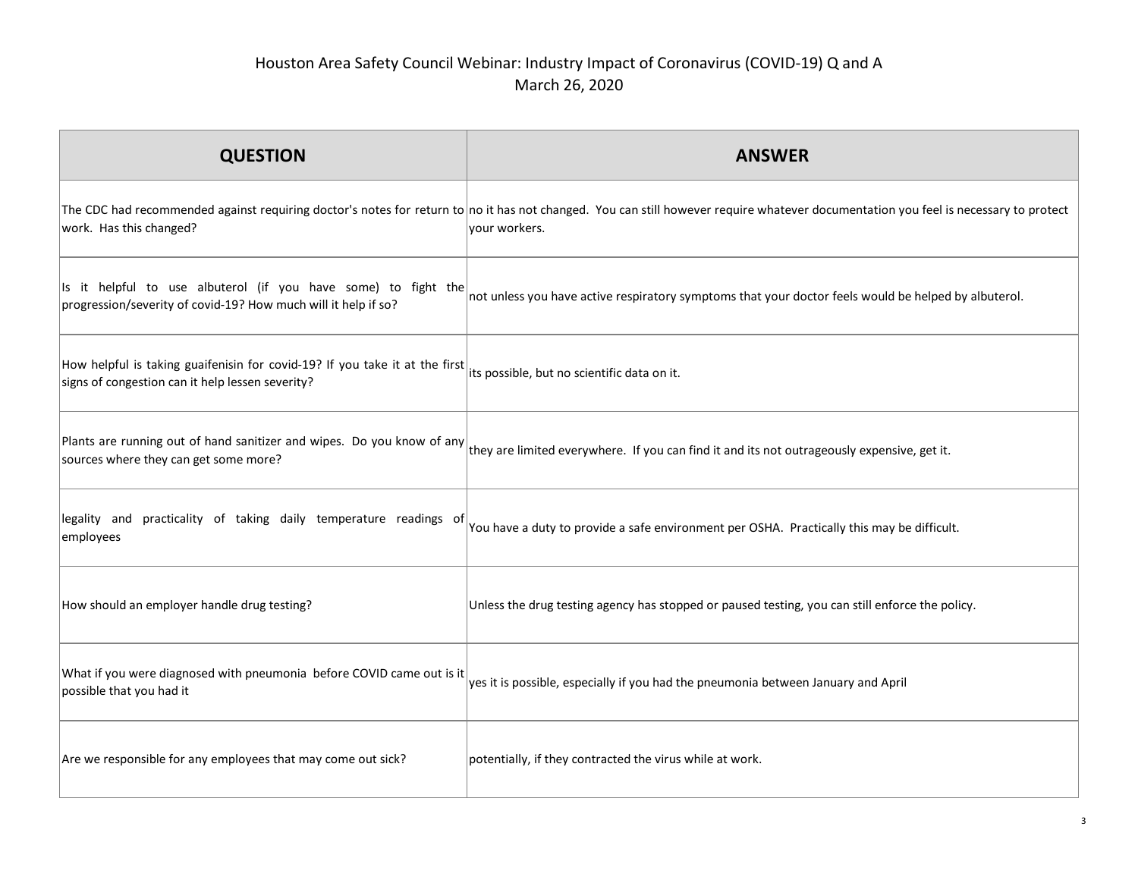| <b>QUESTION</b>                                                                                                                  | <b>ANSWER</b>                                                                                                                                                                                        |
|----------------------------------------------------------------------------------------------------------------------------------|------------------------------------------------------------------------------------------------------------------------------------------------------------------------------------------------------|
| work. Has this changed?                                                                                                          | The CDC had recommended against requiring doctor's notes for return to no it has not changed. You can still however require whatever documentation you feel is necessary to protect<br>your workers. |
| Is it helpful to use albuterol (if you have some) to fight the<br>progression/severity of covid-19? How much will it help if so? | not unless you have active respiratory symptoms that your doctor feels would be helped by albuterol.                                                                                                 |
| How helpful is taking guaifenisin for covid-19? If you take it at the first<br>signs of congestion can it help lessen severity?  | its possible, but no scientific data on it.                                                                                                                                                          |
| Plants are running out of hand sanitizer and wipes. Do you know of any<br>sources where they can get some more?                  | they are limited everywhere. If you can find it and its not outrageously expensive, get it.                                                                                                          |
| legality and practicality of taking daily temperature readings of<br>employees                                                   | You have a duty to provide a safe environment per OSHA. Practically this may be difficult.                                                                                                           |
| How should an employer handle drug testing?                                                                                      | Unless the drug testing agency has stopped or paused testing, you can still enforce the policy.                                                                                                      |
| What if you were diagnosed with pneumonia before COVID came out is it<br>possible that you had it                                | yes it is possible, especially if you had the pneumonia between January and April                                                                                                                    |
| Are we responsible for any employees that may come out sick?                                                                     | potentially, if they contracted the virus while at work.                                                                                                                                             |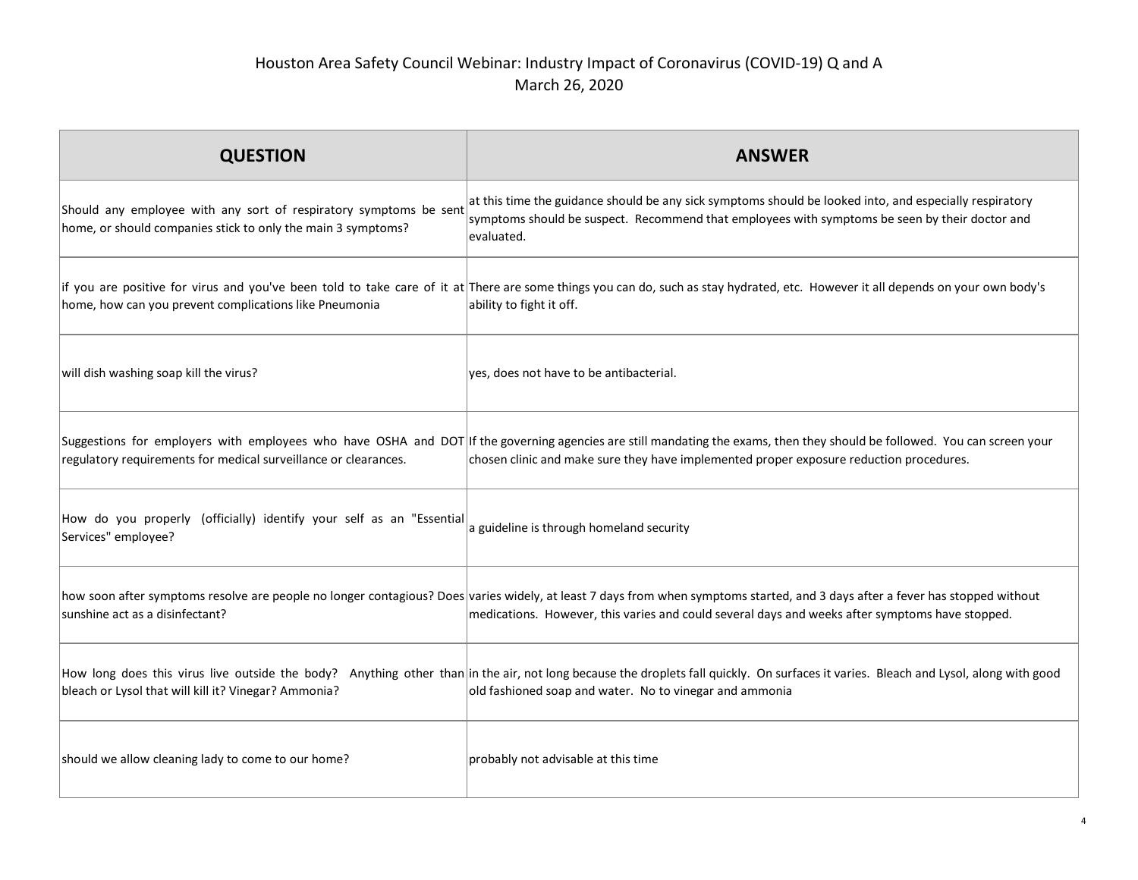| <b>QUESTION</b>                                                                                                                   | <b>ANSWER</b>                                                                                                                                                                                                                                                                    |
|-----------------------------------------------------------------------------------------------------------------------------------|----------------------------------------------------------------------------------------------------------------------------------------------------------------------------------------------------------------------------------------------------------------------------------|
| Should any employee with any sort of respiratory symptoms be sent<br>home, or should companies stick to only the main 3 symptoms? | at this time the guidance should be any sick symptoms should be looked into, and especially respiratory<br>symptoms should be suspect. Recommend that employees with symptoms be seen by their doctor and<br>evaluated.                                                          |
| home, how can you prevent complications like Pneumonia                                                                            | if you are positive for virus and you've been told to take care of it at There are some things you can do, such as stay hydrated, etc. However it all depends on your own body's<br>ability to fight it off.                                                                     |
| will dish washing soap kill the virus?                                                                                            | yes, does not have to be antibacterial.                                                                                                                                                                                                                                          |
| regulatory requirements for medical surveillance or clearances.                                                                   | Suggestions for employers with employees who have OSHA and DOT If the governing agencies are still mandating the exams, then they should be followed. You can screen your<br>chosen clinic and make sure they have implemented proper exposure reduction procedures.             |
| How do you properly (officially) identify your self as an "Essential<br>Services" employee?                                       | a guideline is through homeland security                                                                                                                                                                                                                                         |
| sunshine act as a disinfectant?                                                                                                   | how soon after symptoms resolve are people no longer contagious? Does varies widely, at least 7 days from when symptoms started, and 3 days after a fever has stopped without<br>medications. However, this varies and could several days and weeks after symptoms have stopped. |
| bleach or Lysol that will kill it? Vinegar? Ammonia?                                                                              | How long does this virus live outside the body? Anything other than in the air, not long because the droplets fall quickly. On surfaces it varies. Bleach and Lysol, along with good<br>old fashioned soap and water. No to vinegar and ammonia                                  |
| should we allow cleaning lady to come to our home?                                                                                | probably not advisable at this time                                                                                                                                                                                                                                              |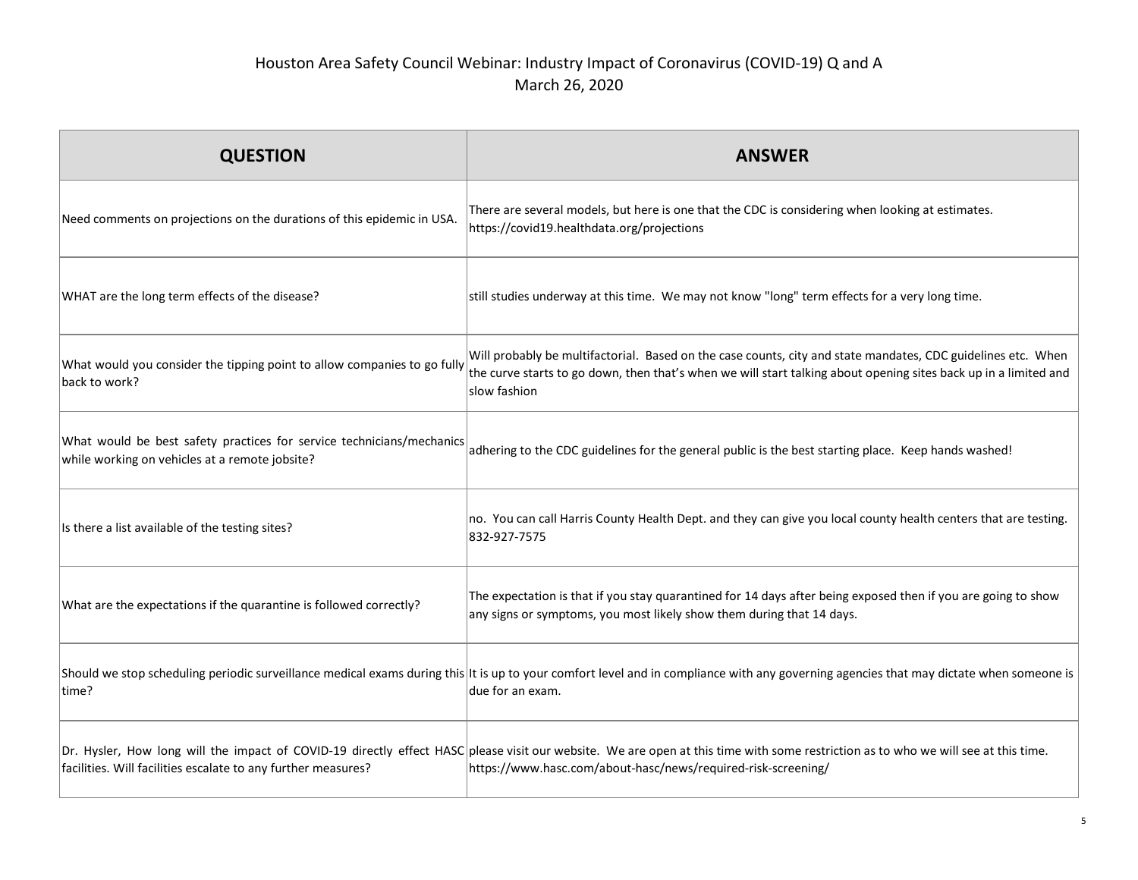| <b>QUESTION</b>                                                                                                         | <b>ANSWER</b>                                                                                                                                                                                                                                       |
|-------------------------------------------------------------------------------------------------------------------------|-----------------------------------------------------------------------------------------------------------------------------------------------------------------------------------------------------------------------------------------------------|
| Need comments on projections on the durations of this epidemic in USA.                                                  | There are several models, but here is one that the CDC is considering when looking at estimates.<br>https://covid19.healthdata.org/projections                                                                                                      |
| WHAT are the long term effects of the disease?                                                                          | still studies underway at this time. We may not know "long" term effects for a very long time.                                                                                                                                                      |
| What would you consider the tipping point to allow companies to go fully<br>back to work?                               | Will probably be multifactorial. Based on the case counts, city and state mandates, CDC guidelines etc. When<br>the curve starts to go down, then that's when we will start talking about opening sites back up in a limited and<br>slow fashion    |
| What would be best safety practices for service technicians/mechanics<br>while working on vehicles at a remote jobsite? | adhering to the CDC guidelines for the general public is the best starting place. Keep hands washed!                                                                                                                                                |
| Is there a list available of the testing sites?                                                                         | no. You can call Harris County Health Dept. and they can give you local county health centers that are testing.<br>832-927-7575                                                                                                                     |
| What are the expectations if the quarantine is followed correctly?                                                      | The expectation is that if you stay quarantined for 14 days after being exposed then if you are going to show<br>any signs or symptoms, you most likely show them during that 14 days.                                                              |
| time?                                                                                                                   | Should we stop scheduling periodic surveillance medical exams during this It is up to your comfort level and in compliance with any governing agencies that may dictate when someone is<br>due for an exam.                                         |
| facilities. Will facilities escalate to any further measures?                                                           | Dr. Hysler, How long will the impact of COVID-19 directly effect HASC please visit our website. We are open at this time with some restriction as to who we will see at this time.<br>https://www.hasc.com/about-hasc/news/required-risk-screening/ |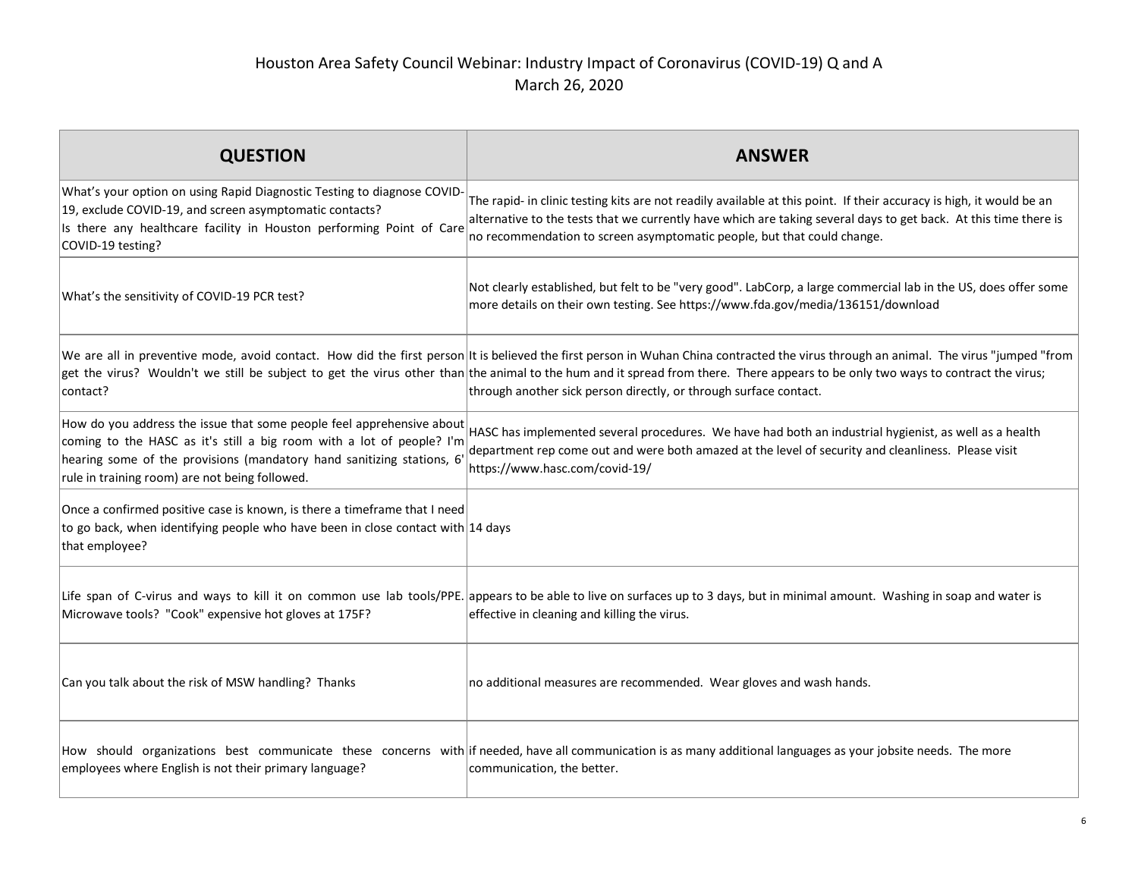| <b>QUESTION</b>                                                                                                                                                                                                                                                           | <b>ANSWER</b>                                                                                                                                                                                                                                                                                                                                                                                                                                  |
|---------------------------------------------------------------------------------------------------------------------------------------------------------------------------------------------------------------------------------------------------------------------------|------------------------------------------------------------------------------------------------------------------------------------------------------------------------------------------------------------------------------------------------------------------------------------------------------------------------------------------------------------------------------------------------------------------------------------------------|
| What's your option on using Rapid Diagnostic Testing to diagnose COVID-<br>19, exclude COVID-19, and screen asymptomatic contacts?<br>Is there any healthcare facility in Houston performing Point of Care<br>COVID-19 testing?                                           | The rapid- in clinic testing kits are not readily available at this point. If their accuracy is high, it would be an<br>alternative to the tests that we currently have which are taking several days to get back. At this time there is<br>no recommendation to screen asymptomatic people, but that could change.                                                                                                                            |
| What's the sensitivity of COVID-19 PCR test?                                                                                                                                                                                                                              | Not clearly established, but felt to be "very good". LabCorp, a large commercial lab in the US, does offer some<br>more details on their own testing. See https://www.fda.gov/media/136151/download                                                                                                                                                                                                                                            |
| contact?                                                                                                                                                                                                                                                                  | We are all in preventive mode, avoid contact. How did the first person it is believed the first person in Wuhan China contracted the virus through an animal. The virus "jumped "from<br>get the virus? Wouldn't we still be subject to get the virus other than the animal to the hum and it spread from there. There appears to be only two ways to contract the virus;<br>through another sick person directly, or through surface contact. |
| How do you address the issue that some people feel apprehensive about<br>coming to the HASC as it's still a big room with a lot of people? I'm<br>hearing some of the provisions (mandatory hand sanitizing stations, 6<br>rule in training room) are not being followed. | HASC has implemented several procedures. We have had both an industrial hygienist, as well as a health<br>department rep come out and were both amazed at the level of security and cleanliness. Please visit<br>https://www.hasc.com/covid-19/                                                                                                                                                                                                |
| Once a confirmed positive case is known, is there a timeframe that I need<br>to go back, when identifying people who have been in close contact with 14 days<br>that employee?                                                                                            |                                                                                                                                                                                                                                                                                                                                                                                                                                                |
| Microwave tools? "Cook" expensive hot gloves at 175F?                                                                                                                                                                                                                     | Life span of C-virus and ways to kill it on common use lab tools/PPE. appears to be able to live on surfaces up to 3 days, but in minimal amount. Washing in soap and water is<br>effective in cleaning and killing the virus.                                                                                                                                                                                                                 |
| Can you talk about the risk of MSW handling? Thanks                                                                                                                                                                                                                       | no additional measures are recommended. Wear gloves and wash hands.                                                                                                                                                                                                                                                                                                                                                                            |
| employees where English is not their primary language?                                                                                                                                                                                                                    | How should organizations best communicate these concerns with if needed, have all communication is as many additional languages as your jobsite needs. The more<br>communication, the better.                                                                                                                                                                                                                                                  |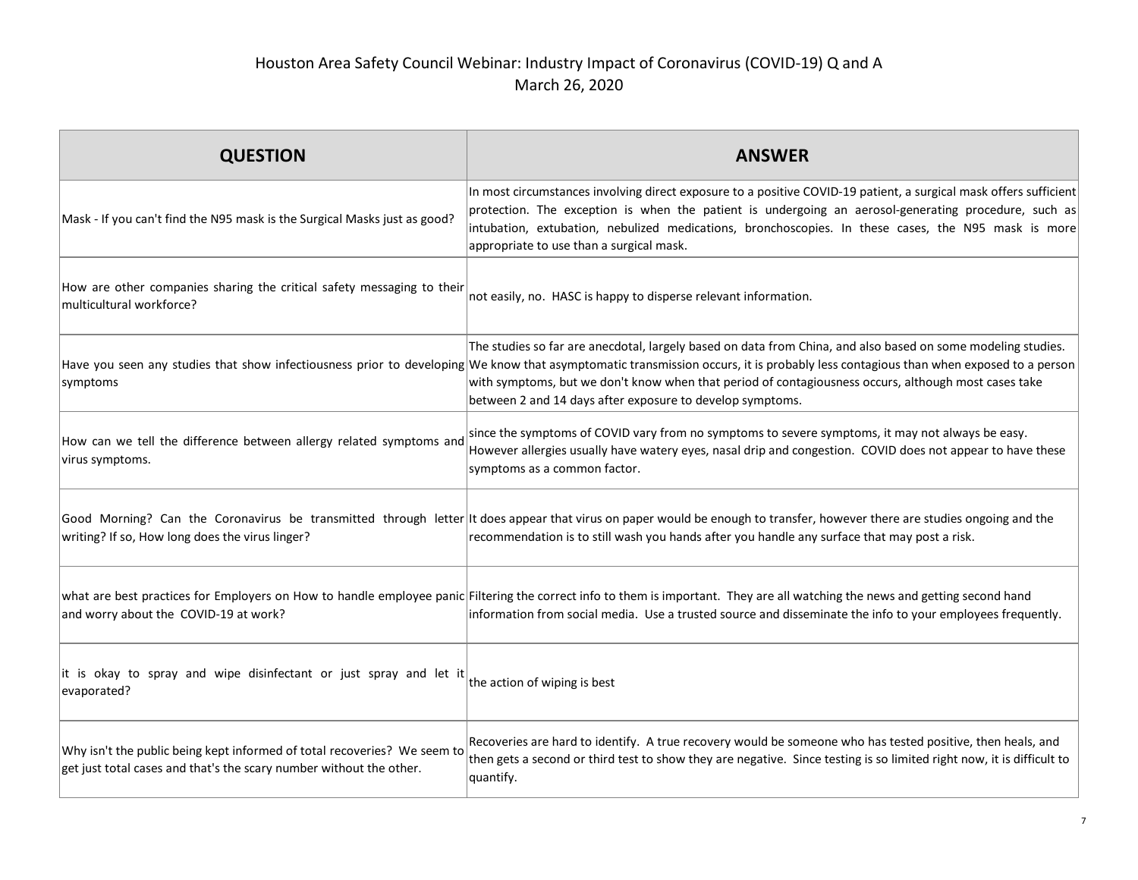| <b>QUESTION</b>                                                                                                                                     | <b>ANSWER</b>                                                                                                                                                                                                                                                                                                                                                                                                                                                           |
|-----------------------------------------------------------------------------------------------------------------------------------------------------|-------------------------------------------------------------------------------------------------------------------------------------------------------------------------------------------------------------------------------------------------------------------------------------------------------------------------------------------------------------------------------------------------------------------------------------------------------------------------|
| Mask - If you can't find the N95 mask is the Surgical Masks just as good?                                                                           | In most circumstances involving direct exposure to a positive COVID-19 patient, a surgical mask offers sufficient<br>protection. The exception is when the patient is undergoing an aerosol-generating procedure, such as<br>intubation, extubation, nebulized medications, bronchoscopies. In these cases, the N95 mask is more<br>appropriate to use than a surgical mask.                                                                                            |
| How are other companies sharing the critical safety messaging to their<br>multicultural workforce?                                                  | not easily, no. HASC is happy to disperse relevant information.                                                                                                                                                                                                                                                                                                                                                                                                         |
| symptoms                                                                                                                                            | The studies so far are anecdotal, largely based on data from China, and also based on some modeling studies.<br>Have you seen any studies that show infectiousness prior to developing We know that asymptomatic transmission occurs, it is probably less contagious than when exposed to a person<br>with symptoms, but we don't know when that period of contagiousness occurs, although most cases take<br>between 2 and 14 days after exposure to develop symptoms. |
| How can we tell the difference between allergy related symptoms and<br>virus symptoms.                                                              | since the symptoms of COVID vary from no symptoms to severe symptoms, it may not always be easy.<br>However allergies usually have watery eyes, nasal drip and congestion. COVID does not appear to have these<br>symptoms as a common factor.                                                                                                                                                                                                                          |
| writing? If so, How long does the virus linger?                                                                                                     | Good Morning? Can the Coronavirus be transmitted through letter It does appear that virus on paper would be enough to transfer, however there are studies ongoing and the<br>recommendation is to still wash you hands after you handle any surface that may post a risk.                                                                                                                                                                                               |
| and worry about the COVID-19 at work?                                                                                                               | what are best practices for Employers on How to handle employee panic Filtering the correct info to them is important. They are all watching the news and getting second hand<br>information from social media. Use a trusted source and disseminate the info to your employees frequently.                                                                                                                                                                             |
| it is okay to spray and wipe disinfectant or just spray and let it the action of wiping is best<br>evaporated?                                      |                                                                                                                                                                                                                                                                                                                                                                                                                                                                         |
| Why isn't the public being kept informed of total recoveries? We seem to<br>$ $ get just total cases and that's the scary number without the other. | Recoveries are hard to identify. A true recovery would be someone who has tested positive, then heals, and<br>then gets a second or third test to show they are negative. Since testing is so limited right now, it is difficult to<br>quantify.                                                                                                                                                                                                                        |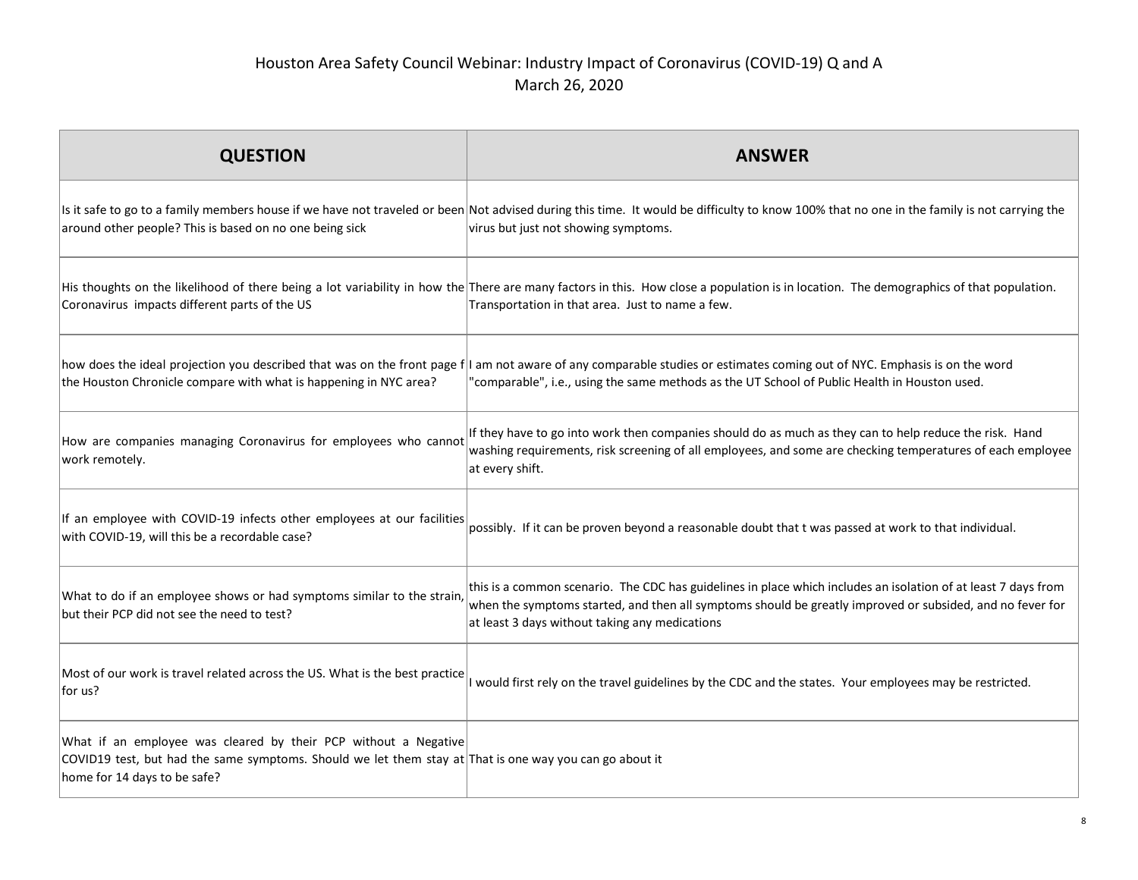| <b>QUESTION</b>                                                                                                                                                                                            | <b>ANSWER</b>                                                                                                                                                                                                                                                                 |
|------------------------------------------------------------------------------------------------------------------------------------------------------------------------------------------------------------|-------------------------------------------------------------------------------------------------------------------------------------------------------------------------------------------------------------------------------------------------------------------------------|
| around other people? This is based on no one being sick                                                                                                                                                    | Is it safe to go to a family members house if we have not traveled or been Not advised during this time. It would be difficulty to know 100% that no one in the family is not carrying the<br>virus but just not showing symptoms.                                            |
| Coronavirus impacts different parts of the US                                                                                                                                                              | His thoughts on the likelihood of there being a lot variability in how the There are many factors in this. How close a population is in location. The demographics of that population.<br>Transportation in that area. Just to name a few.                                    |
| the Houston Chronicle compare with what is happening in NYC area?                                                                                                                                          | how does the ideal projection you described that was on the front page f I am not aware of any comparable studies or estimates coming out of NYC. Emphasis is on the word<br>'comparable", i.e., using the same methods as the UT School of Public Health in Houston used.    |
| How are companies managing Coronavirus for employees who cannot<br>work remotely.                                                                                                                          | If they have to go into work then companies should do as much as they can to help reduce the risk. Hand<br>washing requirements, risk screening of all employees, and some are checking temperatures of each employee<br>at every shift.                                      |
| If an employee with COVID-19 infects other employees at our facilities<br>with COVID-19, will this be a recordable case?                                                                                   | possibly. If it can be proven beyond a reasonable doubt that t was passed at work to that individual.                                                                                                                                                                         |
| What to do if an employee shows or had symptoms similar to the strain,<br>but their PCP did not see the need to test?                                                                                      | this is a common scenario. The CDC has guidelines in place which includes an isolation of at least 7 days from<br>when the symptoms started, and then all symptoms should be greatly improved or subsided, and no fever for<br>at least 3 days without taking any medications |
| Most of our work is travel related across the US. What is the best practice<br> for us?                                                                                                                    | would first rely on the travel guidelines by the CDC and the states. Your employees may be restricted.                                                                                                                                                                        |
| What if an employee was cleared by their PCP without a Negative<br>COVID19 test, but had the same symptoms. Should we let them stay at That is one way you can go about it<br>home for 14 days to be safe? |                                                                                                                                                                                                                                                                               |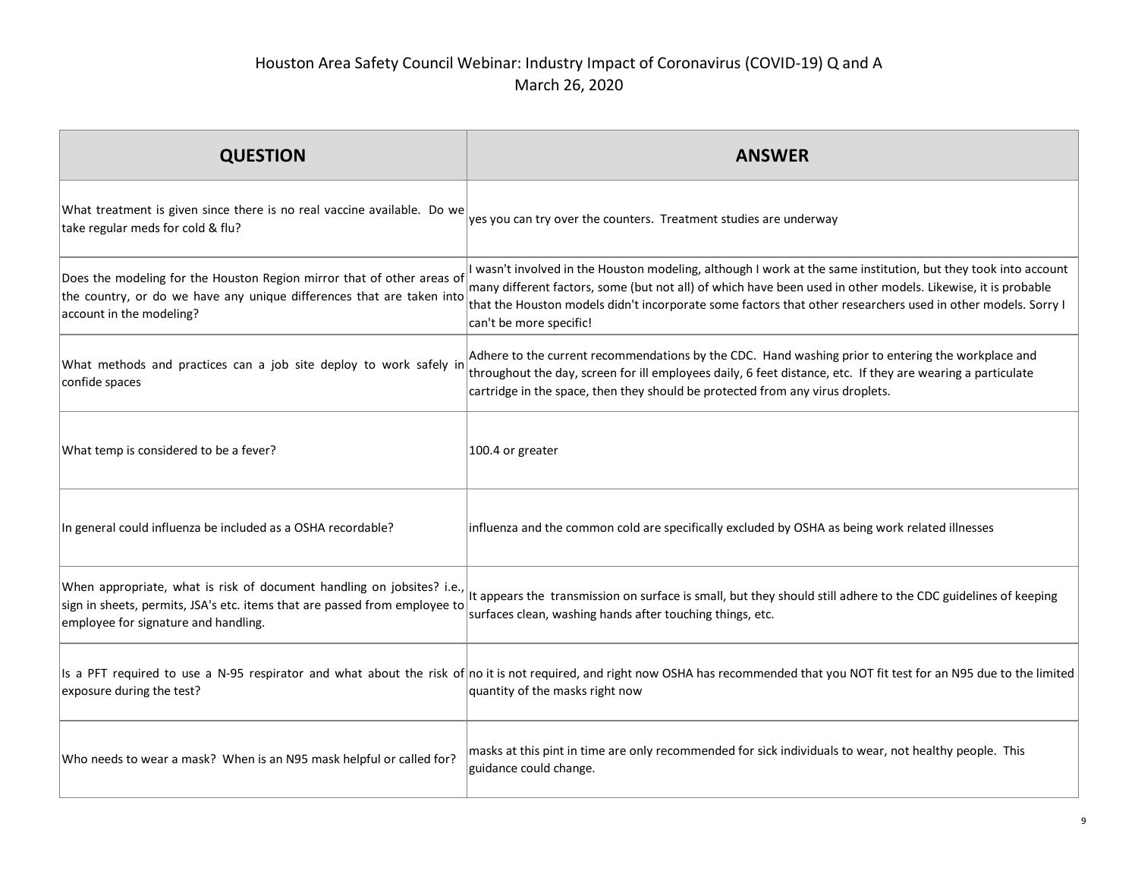| <b>QUESTION</b>                                                                                                                                                                              | <b>ANSWER</b>                                                                                                                                                                                                                                                                                                                                                             |
|----------------------------------------------------------------------------------------------------------------------------------------------------------------------------------------------|---------------------------------------------------------------------------------------------------------------------------------------------------------------------------------------------------------------------------------------------------------------------------------------------------------------------------------------------------------------------------|
| What treatment is given since there is no real vaccine available. Do we<br>take regular meds for cold & flu?                                                                                 | yes you can try over the counters. Treatment studies are underway                                                                                                                                                                                                                                                                                                         |
| Does the modeling for the Houston Region mirror that of other areas of<br>the country, or do we have any unique differences that are taken into<br>account in the modeling?                  | I wasn't involved in the Houston modeling, although I work at the same institution, but they took into account<br>many different factors, some (but not all) of which have been used in other models. Likewise, it is probable<br>that the Houston models didn't incorporate some factors that other researchers used in other models. Sorry I<br>can't be more specific! |
| What methods and practices can a job site deploy to work safely in<br>confide spaces                                                                                                         | Adhere to the current recommendations by the CDC. Hand washing prior to entering the workplace and<br>throughout the day, screen for ill employees daily, 6 feet distance, etc. If they are wearing a particulate<br>cartridge in the space, then they should be protected from any virus droplets.                                                                       |
| What temp is considered to be a fever?                                                                                                                                                       | $ 100.4$ or greater                                                                                                                                                                                                                                                                                                                                                       |
| In general could influenza be included as a OSHA recordable?                                                                                                                                 | influenza and the common cold are specifically excluded by OSHA as being work related illnesses                                                                                                                                                                                                                                                                           |
| When appropriate, what is risk of document handling on jobsites? i.e.,<br>sign in sheets, permits, JSA's etc. items that are passed from employee to<br>employee for signature and handling. | It appears the transmission on surface is small, but they should still adhere to the CDC guidelines of keeping<br>surfaces clean, washing hands after touching things, etc.                                                                                                                                                                                               |
| exposure during the test?                                                                                                                                                                    | Is a PFT required to use a N-95 respirator and what about the risk of no it is not required, and right now OSHA has recommended that you NOT fit test for an N95 due to the limited<br>quantity of the masks right now                                                                                                                                                    |
| Who needs to wear a mask? When is an N95 mask helpful or called for?                                                                                                                         | masks at this pint in time are only recommended for sick individuals to wear, not healthy people. This<br>guidance could change.                                                                                                                                                                                                                                          |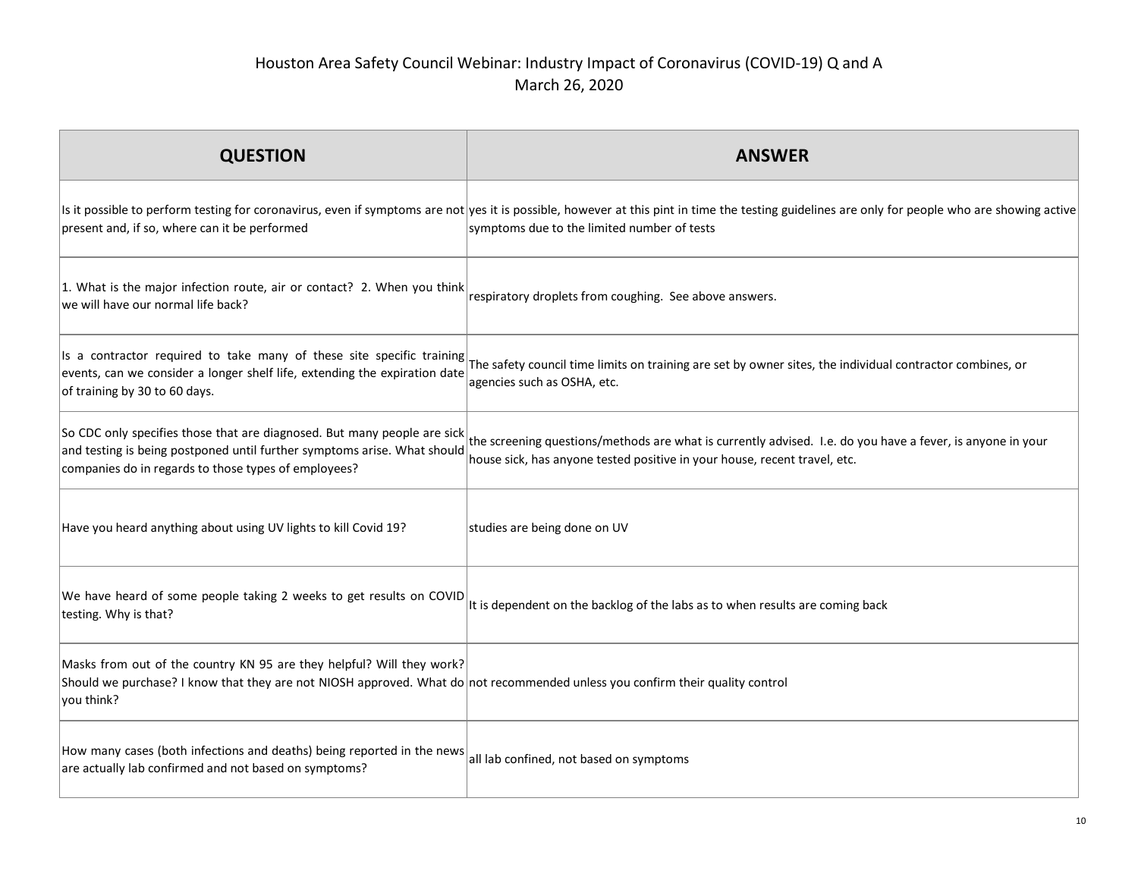| <b>QUESTION</b>                                                                                                                                                                                                      | <b>ANSWFR</b>                                                                                                                                                                                                                                 |
|----------------------------------------------------------------------------------------------------------------------------------------------------------------------------------------------------------------------|-----------------------------------------------------------------------------------------------------------------------------------------------------------------------------------------------------------------------------------------------|
| present and, if so, where can it be performed                                                                                                                                                                        | Is it possible to perform testing for coronavirus, even if symptoms are not yes it is possible, however at this pint in time the testing guidelines are only for people who are showing active<br>symptoms due to the limited number of tests |
| 1. What is the major infection route, air or contact? 2. When you think<br>we will have our normal life back?                                                                                                        | respiratory droplets from coughing. See above answers.                                                                                                                                                                                        |
| events, can we consider a longer shelf life, extending the expiration date<br>of training by 30 to 60 days.                                                                                                          | Is a contractor required to take many of these site specific training $\vert$ The safety council time limits on training are set by owner sites, the individual contractor combines, or<br>agencies such as OSHA, etc.                        |
| So CDC only specifies those that are diagnosed. But many people are sick<br>and testing is being postponed until further symptoms arise. What should<br>companies do in regards to those types of employees?         | the screening questions/methods are what is currently advised. I.e. do you have a fever, is anyone in your<br>house sick, has anyone tested positive in your house, recent travel, etc.                                                       |
| Have you heard anything about using UV lights to kill Covid 19?                                                                                                                                                      | studies are being done on UV                                                                                                                                                                                                                  |
| We have heard of some people taking 2 weeks to get results on COVID<br>testing. Why is that?                                                                                                                         | It is dependent on the backlog of the labs as to when results are coming back                                                                                                                                                                 |
| Masks from out of the country KN 95 are they helpful? Will they work?<br>Should we purchase? I know that they are not NIOSH approved. What do not recommended unless you confirm their quality control<br>you think? |                                                                                                                                                                                                                                               |
| How many cases (both infections and deaths) being reported in the news<br>are actually lab confirmed and not based on symptoms?                                                                                      | all lab confined, not based on symptoms                                                                                                                                                                                                       |